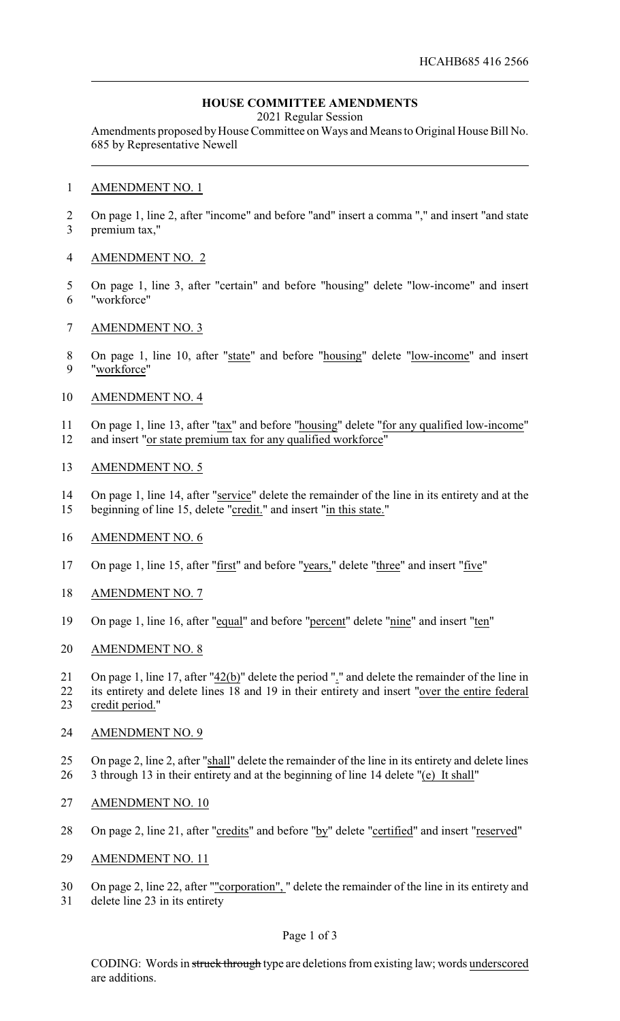## **HOUSE COMMITTEE AMENDMENTS**

2021 Regular Session

Amendments proposed by House Committee on Ways and Means to Original House Bill No. 685 by Representative Newell

#### AMENDMENT NO. 1

 On page 1, line 2, after "income" and before "and" insert a comma "," and insert "and state premium tax,"

### AMENDMENT NO. 2

- On page 1, line 3, after "certain" and before "housing" delete "low-income" and insert "workforce"
- AMENDMENT NO. 3
- 8 On page 1, line 10, after "state" and before "housing" delete "low-income" and insert "workforce"

## AMENDMENT NO. 4

 On page 1, line 13, after "tax" and before "housing" delete "for any qualified low-income" and insert "or state premium tax for any qualified workforce"

#### AMENDMENT NO. 5

 On page 1, line 14, after "service" delete the remainder of the line in its entirety and at the beginning of line 15, delete "credit." and insert "in this state."

## AMENDMENT NO. 6

- On page 1, line 15, after "first" and before "years," delete "three" and insert "five"
- AMENDMENT NO. 7
- On page 1, line 16, after "equal" and before "percent" delete "nine" and insert "ten"
- AMENDMENT NO. 8

 On page 1, line 17, after "42(b)" delete the period "." and delete the remainder of the line in its entirety and delete lines 18 and 19 in their entirety and insert "over the entire federal credit period."

## AMENDMENT NO. 9

- On page 2, line 2, after "shall" delete the remainder of the line in its entirety and delete lines 26 3 through 13 in their entirety and at the beginning of line 14 delete "(e) It shall"
- AMENDMENT NO. 10
- 28 On page 2, line 21, after "credits" and before "by" delete "certified" and insert "reserved"
- AMENDMENT NO. 11
- On page 2, line 22, after ""corporation", " delete the remainder of the line in its entirety and
- delete line 23 in its entirety

## Page 1 of 3

CODING: Words in struck through type are deletions from existing law; words underscored are additions.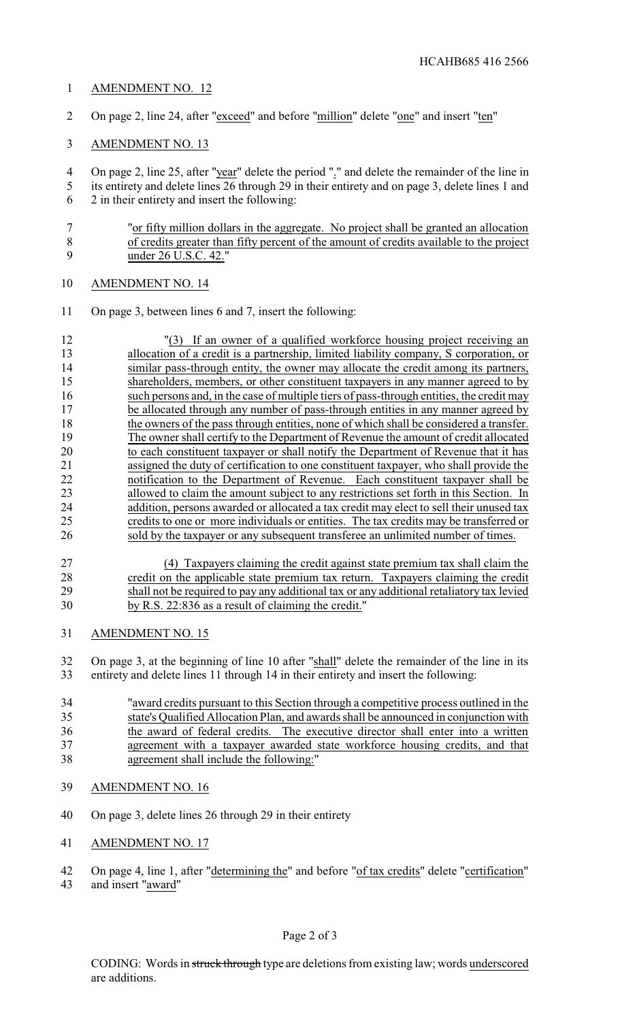## AMENDMENT NO. 12

- On page 2, line 24, after "exceed" and before "million" delete "one" and insert "ten"
- AMENDMENT NO. 13

 On page 2, line 25, after "year" delete the period "." and delete the remainder of the line in its entirety and delete lines 26 through 29 in their entirety and on page 3, delete lines 1 and 2 in their entirety and insert the following:

 "or fifty million dollars in the aggregate. No project shall be granted an allocation of credits greater than fifty percent of the amount of credits available to the project under 26 U.S.C. 42."

- AMENDMENT NO. 14
- On page 3, between lines 6 and 7, insert the following:

 "(3) If an owner of a qualified workforce housing project receiving an allocation of a credit is a partnership, limited liability company, S corporation, or similar pass-through entity, the owner may allocate the credit among its partners, shareholders, members, or other constituent taxpayers in any manner agreed to by such persons and, in the case of multiple tiers of pass-through entities, the credit may be allocated through any number of pass-through entities in any manner agreed by 18 the owners of the pass through entities, none of which shall be considered a transfer.<br>19 The owner shall certify to the Department of Revenue the amount of credit allocated The owner shall certify to the Department of Revenue the amount of credit allocated to each constituent taxpayer or shall notify the Department of Revenue that it has assigned the duty of certification to one constituent taxpayer, who shall provide the notification to the Department of Revenue. Each constituent taxpayer shall be allowed to claim the amount subject to any restrictions set forth in this Section. In 24 addition, persons awarded or allocated a tax credit may elect to sell their unused tax credits to one or more individuals or entities. The tax credits may be transferred or 26 sold by the taxpayer or any subsequent transferee an unlimited number of times.

- (4) Taxpayers claiming the credit against state premium tax shall claim the 28 credit on the applicable state premium tax return. Taxpayers claiming the credit<br>29 shall not be required to pay any additional tax or any additional retaliatory tax levied shall not be required to pay any additional tax or any additional retaliatory tax levied by R.S. 22:836 as a result of claiming the credit."
- AMENDMENT NO. 15

 On page 3, at the beginning of line 10 after "shall" delete the remainder of the line in its entirety and delete lines 11 through 14 in their entirety and insert the following:

 "award credits pursuant to this Section through a competitive process outlined in the state's Qualified Allocation Plan, and awards shall be announced in conjunction with the award of federal credits. The executive director shall enter into a written agreement with a taxpayer awarded state workforce housing credits, and that agreement shall include the following:"

- AMENDMENT NO. 16
- On page 3, delete lines 26 through 29 in their entirety
- AMENDMENT NO. 17

 On page 4, line 1, after "determining the" and before "of tax credits" delete "certification" and insert "award"